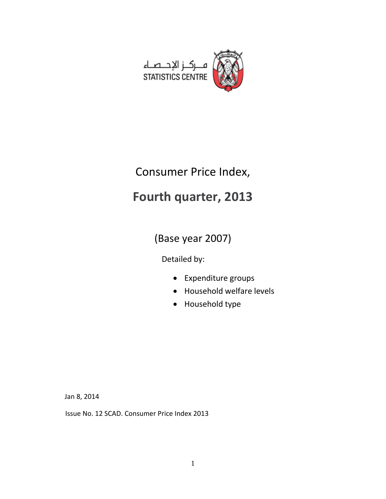

# Consumer Price Index,

# **Fourth quarter, 2013**

(Base year 2007)

Detailed by:

- Expenditure groups
- Household welfare levels
- Household type

Jan 8, 2014

Issue No. 12 SCAD. Consumer Price Index 2013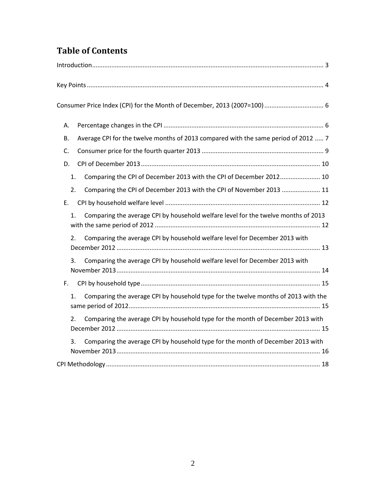# **Table of Contents**

| А.               |                                                                                    |
|------------------|------------------------------------------------------------------------------------|
| В.               | Average CPI for the twelve months of 2013 compared with the same period of 2012  7 |
| C.               |                                                                                    |
| D.               |                                                                                    |
| 1.               | Comparing the CPI of December 2013 with the CPI of December 2012 10                |
| 2.               | Comparing the CPI of December 2013 with the CPI of November 2013  11               |
| Ε.               |                                                                                    |
| 1.               | Comparing the average CPI by household welfare level for the twelve months of 2013 |
| 2.               | Comparing the average CPI by household welfare level for December 2013 with        |
| 3.               | Comparing the average CPI by household welfare level for December 2013 with        |
| F.               |                                                                                    |
| 1.               | Comparing the average CPI by household type for the twelve months of 2013 with the |
| $\overline{2}$ . | Comparing the average CPI by household type for the month of December 2013 with    |
| 3.               | Comparing the average CPI by household type for the month of December 2013 with    |
|                  |                                                                                    |
|                  |                                                                                    |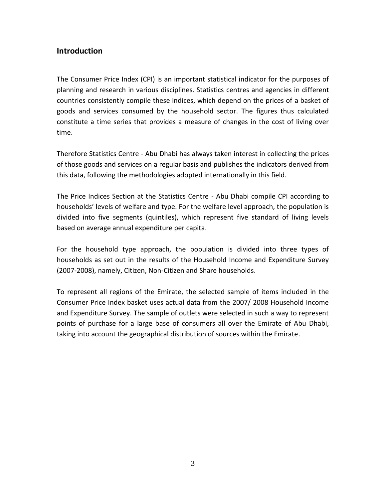# <span id="page-2-0"></span>**Introduction**

The Consumer Price Index (CPI) is an important statistical indicator for the purposes of planning and research in various disciplines. Statistics centres and agencies in different countries consistently compile these indices, which depend on the prices of a basket of goods and services consumed by the household sector. The figures thus calculated constitute a time series that provides a measure of changes in the cost of living over time.

Therefore Statistics Centre - Abu Dhabi has always taken interest in collecting the prices of those goods and services on a regular basis and publishes the indicators derived from this data, following the methodologies adopted internationally in this field.

The Price Indices Section at the Statistics Centre - Abu Dhabi compile CPI according to households' levels of welfare and type. For the welfare level approach, the population is divided into five segments (quintiles), which represent five standard of living levels based on average annual expenditure per capita.

For the household type approach, the population is divided into three types of households as set out in the results of the Household Income and Expenditure Survey (2007-2008), namely, Citizen, Non-Citizen and Share households.

To represent all regions of the Emirate, the selected sample of items included in the Consumer Price Index basket uses actual data from the 2007/ 2008 Household Income and Expenditure Survey. The sample of outlets were selected in such a way to represent points of purchase for a large base of consumers all over the Emirate of Abu Dhabi, taking into account the geographical distribution of sources within the Emirate.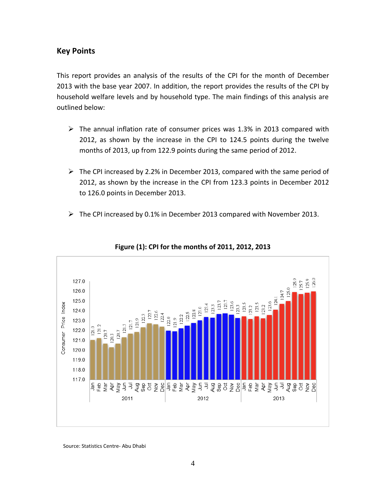## <span id="page-3-0"></span>**Key Points**

This report provides an analysis of the results of the CPI for the month of December 2013 with the base year 2007. In addition, the report provides the results of the CPI by household welfare levels and by household type. The main findings of this analysis are outlined below:

- $\triangleright$  The annual inflation rate of consumer prices was 1.3% in 2013 compared with 2012, as shown by the increase in the CPI to 124.5 points during the twelve months of 2013, up from 122.9 points during the same period of 2012.
- $\triangleright$  The CPI increased by 2.2% in December 2013, compared with the same period of 2012, as shown by the increase in the CPI from 123.3 points in December 2012 to 126.0 points in December 2013.
- $\triangleright$  The CPI increased by 0.1% in December 2013 compared with November 2013.



#### **Figure (1): CPI for the months of 2011, 2012, 2013**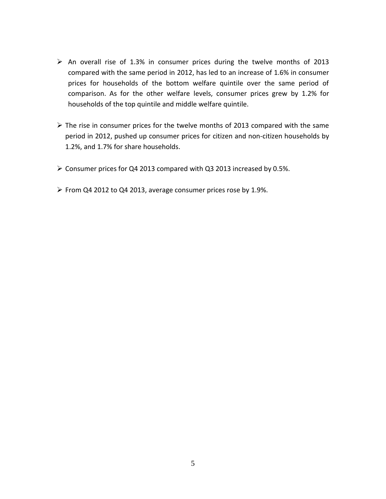- $\triangleright$  An overall rise of 1.3% in consumer prices during the twelve months of 2013 compared with the same period in 2012, has led to an increase of 1.6% in consumer prices for households of the bottom welfare quintile over the same period of comparison. As for the other welfare levels, consumer prices grew by 1.2% for households of the top quintile and middle welfare quintile.
- $\triangleright$  The rise in consumer prices for the twelve months of 2013 compared with the same period in 2012, pushed up consumer prices for citizen and non-citizen households by 1.2%, and 1.7% for share households.
- Consumer prices for Q4 2013 compared with Q3 2013 increased by 0.5%.
- From Q4 2012 to Q4 2013, average consumer prices rose by 1.9%.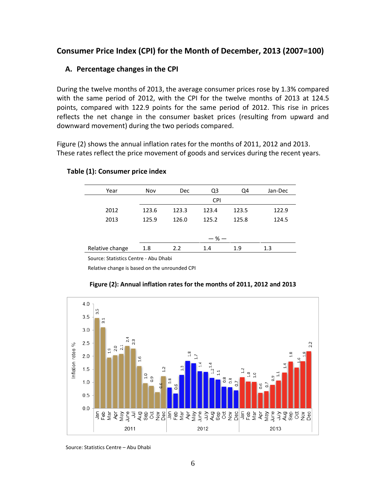# <span id="page-5-1"></span><span id="page-5-0"></span>**Consumer Price Index (CPI) for the Month of December, 2013 (2007=100)**

#### **A. Percentage changes in the CPI**

During the twelve months of 2013, the average consumer prices rose by 1.3% compared with the same period of 2012, with the CPI for the twelve months of 2013 at 124.5 points, compared with 122.9 points for the same period of 2012. This rise in prices reflects the net change in the consumer basket prices (resulting from upward and downward movement) during the two periods compared.

Figure (2) shows the annual inflation rates for the months of 2011, 2012 and 2013. These rates reflect the price movement of goods and services during the recent years.

| Year            | Nov   | <b>Dec</b> | Q3         | Q4    | Jan-Dec |
|-----------------|-------|------------|------------|-------|---------|
|                 |       |            | <b>CPI</b> |       |         |
| 2012            | 123.6 | 123.3      | 123.4      | 123.5 | 122.9   |
| 2013            | 125.9 | 126.0      | 125.2      | 125.8 | 124.5   |
|                 |       |            |            |       |         |
|                 |       |            | $-$ % $-$  |       |         |
| Relative change | 1.8   | 2.2        | 1.4        | 1.9   | 1.3     |

#### **Table (1): Consumer price index**

Source: Statistics Centre - Abu Dhabi

Relative change is based on the unrounded CPI



#### **Figure (2): Annual inflation rates for the months of 2011, 2012 and 2013**

Source: Statistics Centre – Abu Dhabi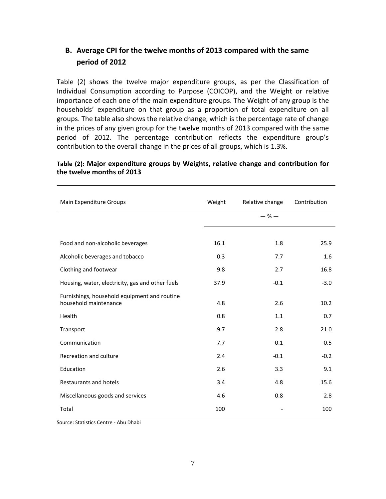# <span id="page-6-0"></span>**B. Average CPI for the twelve months of 2013 compared with the same period of 2012**

Table (2) shows the twelve major expenditure groups, as per the Classification of Individual Consumption according to Purpose (COICOP), and the Weight or relative importance of each one of the main expenditure groups. The Weight of any group is the households' expenditure on that group as a proportion of total expenditure on all groups. The table also shows the relative change, which is the percentage rate of change in the prices of any given group for the twelve months of 2013 compared with the same period of 2012. The percentage contribution reflects the expenditure group's contribution to the overall change in the prices of all groups, which is 1.3%.

#### **Table (2): Major expenditure groups by Weights, relative change and contribution for the twelve months of 2013**

| Main Expenditure Groups                                               | Weight | Relative change | Contribution |
|-----------------------------------------------------------------------|--------|-----------------|--------------|
|                                                                       |        | $-$ % $-$       |              |
|                                                                       |        |                 |              |
| Food and non-alcoholic beverages                                      | 16.1   | 1.8             | 25.9         |
| Alcoholic beverages and tobacco                                       | 0.3    | 7.7             | 1.6          |
| Clothing and footwear                                                 | 9.8    | 2.7             | 16.8         |
| Housing, water, electricity, gas and other fuels                      | 37.9   | $-0.1$          | $-3.0$       |
| Furnishings, household equipment and routine<br>household maintenance | 4.8    | 2.6             | 10.2         |
| Health                                                                | 0.8    | 1.1             | 0.7          |
| Transport                                                             | 9.7    | 2.8             | 21.0         |
| Communication                                                         | 7.7    | $-0.1$          | $-0.5$       |
| Recreation and culture                                                | 2.4    | $-0.1$          | $-0.2$       |
| Education                                                             | 2.6    | 3.3             | 9.1          |
| Restaurants and hotels                                                | 3.4    | 4.8             | 15.6         |
| Miscellaneous goods and services                                      | 4.6    | 0.8             | 2.8          |
| Total                                                                 | 100    |                 | 100          |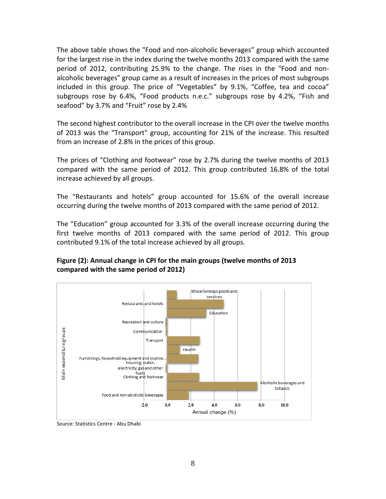The above table shows the "Food and non-alcoholic beverages" group which accounted for the largest rise in the index during the twelve months 2013 compared with the same period of 2012, contributing 25.9% to the change. The rises in the "Food and nonalcoholic beverages" group came as a result of increases in the prices of most subgroups included in this group. The price of "Vegetables" by 9.1%, "Coffee, tea and cocoa" subgroups rose by 6.4%, "Food products n.e.c." subgroups rose by 4.2%, "Fish and seafood" by 3.7% and "Fruit" rose by 2.4%

The second highest contributor to the overall increase in the CPI over the twelve months of 2013 was the "Transport" group, accounting for 21% of the increase. This resulted from an increase of 2.8% in the prices of this group.

The prices of "Clothing and footwear" rose by 2.7% during the twelve months of 2013 compared with the same period of 2012. This group contributed 16.8% of the total increase achieved by all groups.

The "Restaurants and hotels" group accounted for 15.6% of the overall increase occurring during the twelve months of 2013 compared with the same period of 2012.

The "Education" group accounted for 3.3% of the overall increase occurring during the first twelve months of 2013 compared with the same period of 2012. This group contributed 9.1% of the total increase achieved by all groups.

#### **Figure (2): Annual change in CPI for the main groups (twelve months of 2013 compared with the same period of 2012)**



Source: Statistics Centre - Abu Dhabi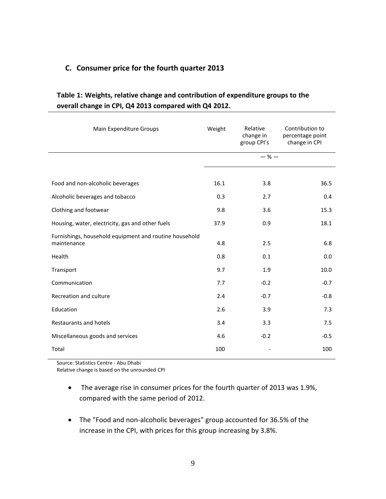### <span id="page-8-0"></span>**C. Consumer price for the fourth quarter 2013**

| Table 1: Weights, relative change and contribution of expenditure groups to the |  |
|---------------------------------------------------------------------------------|--|
| overall change in CPI, Q4 2013 compared with Q4 2012.                           |  |

| Main Expenditure Groups                                               | Weight | Relative<br>change in<br>group CPI's | Contribution to<br>percentage point<br>change in CPI |
|-----------------------------------------------------------------------|--------|--------------------------------------|------------------------------------------------------|
|                                                                       |        | $-$ % $-$                            |                                                      |
|                                                                       |        |                                      |                                                      |
| Food and non-alcoholic beverages                                      | 16.1   | 3.8                                  | 36.5                                                 |
| Alcoholic beverages and tobacco                                       | 0.3    | 2.7                                  | 0.4                                                  |
| Clothing and footwear                                                 | 9.8    | 3.6                                  | 15.3                                                 |
| Housing, water, electricity, gas and other fuels                      | 37.9   | 0.9                                  | 18.1                                                 |
| Furnishings, household equipment and routine household<br>maintenance | 4.8    | 2.5                                  | 6.8                                                  |
| Health                                                                | 0.8    | 0.1                                  | 0.0                                                  |
| Transport                                                             | 9.7    | 1.9                                  | 10.0                                                 |
| Communication                                                         | 7.7    | $-0.2$                               | $-0.7$                                               |
| Recreation and culture                                                | 2.4    | $-0.7$                               | $-0.8$                                               |
| Education                                                             | 2.6    | 3.9                                  | 7.3                                                  |
| <b>Restaurants and hotels</b>                                         | 3.4    | 3.3                                  | 7.5                                                  |
| Miscellaneous goods and services                                      | 4.6    | $-0.2$                               | $-0.5$                                               |
| Total                                                                 | 100    |                                      | 100                                                  |

Source: Statistics Centre - Abu Dhabi

Relative change is based on the unrounded CPI

- The average rise in consumer prices for the fourth quarter of 2013 was 1.9%, compared with the same period of 2012.
- The "Food and non-alcoholic beverages" group accounted for 36.5% of the increase in the CPI, with prices for this group increasing by 3.8%.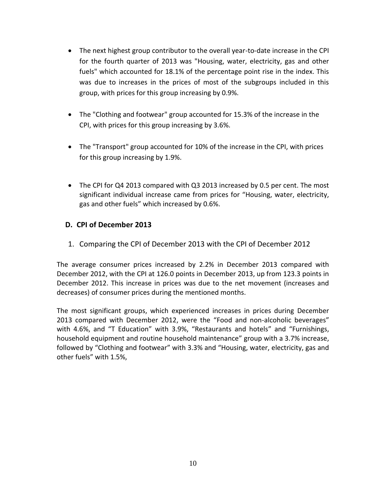- The next highest group contributor to the overall year-to-date increase in the CPI for the fourth quarter of 2013 was "Housing, water, electricity, gas and other fuels" which accounted for 18.1% of the percentage point rise in the index. This was due to increases in the prices of most of the subgroups included in this group, with prices for this group increasing by 0.9%.
- The "Clothing and footwear" group accounted for 15.3% of the increase in the CPI, with prices for this group increasing by 3.6%.
- The "Transport" group accounted for 10% of the increase in the CPI, with prices for this group increasing by 1.9%.
- The CPI for Q4 2013 compared with Q3 2013 increased by 0.5 per cent. The most significant individual increase came from prices for "Housing, water, electricity, gas and other fuels" which increased by 0.6%.

## <span id="page-9-1"></span><span id="page-9-0"></span>**D. CPI of December 2013**

1. Comparing the CPI of December 2013 with the CPI of December 2012

The average consumer prices increased by 2.2% in December 2013 compared with December 2012, with the CPI at 126.0 points in December 2013, up from 123.3 points in December 2012. This increase in prices was due to the net movement (increases and decreases) of consumer prices during the mentioned months.

The most significant groups, which experienced increases in prices during December 2013 compared with December 2012, were the "Food and non-alcoholic beverages" with 4.6%, and "T Education" with 3.9%, "Restaurants and hotels" and "Furnishings, household equipment and routine household maintenance" group with a 3.7% increase, followed by "Clothing and footwear" with 3.3% and "Housing, water, electricity, gas and other fuels" with 1.5%,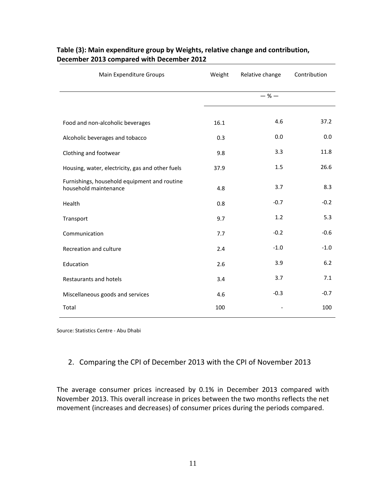| Main Expenditure Groups<br>Weight                                     |      | Relative change | Contribution |
|-----------------------------------------------------------------------|------|-----------------|--------------|
|                                                                       |      | $-$ % $-$       |              |
|                                                                       |      |                 |              |
| Food and non-alcoholic beverages                                      | 16.1 | 4.6             | 37.2         |
| Alcoholic beverages and tobacco                                       | 0.3  | 0.0             | 0.0          |
| Clothing and footwear                                                 | 9.8  | 3.3             | 11.8         |
| Housing, water, electricity, gas and other fuels                      | 37.9 | 1.5             | 26.6         |
| Furnishings, household equipment and routine<br>household maintenance | 4.8  | 3.7             | 8.3          |
| Health                                                                | 0.8  | $-0.7$          | $-0.2$       |
| Transport                                                             | 9.7  | 1.2             | 5.3          |
| Communication                                                         | 7.7  | $-0.2$          | $-0.6$       |
| Recreation and culture                                                | 2.4  | $-1.0$          | $-1.0$       |
| Education                                                             | 2.6  | 3.9             | $6.2$        |
| Restaurants and hotels                                                | 3.4  | 3.7             | 7.1          |
| Miscellaneous goods and services                                      | 4.6  | $-0.3$          | $-0.7$       |
| Total                                                                 | 100  |                 | 100          |

#### **Table (3): Main expenditure group by Weights, relative change and contribution, December 2013 compared with December 2012**

Source: Statistics Centre - Abu Dhabi

#### <span id="page-10-0"></span>2. Comparing the CPI of December 2013 with the CPI of November 2013

The average consumer prices increased by 0.1% in December 2013 compared with November 2013. This overall increase in prices between the two months reflects the net movement (increases and decreases) of consumer prices during the periods compared.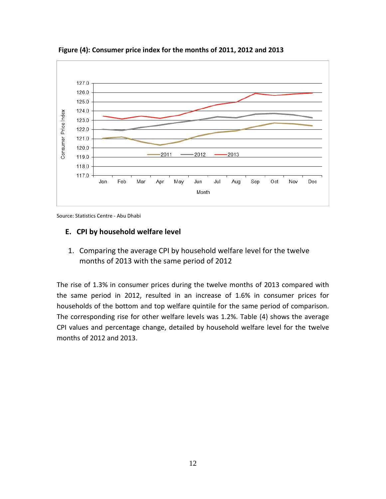

**Figure (4): Consumer price index for the months of 2011, 2012 and 2013**

Source: Statistics Centre - Abu Dhabi

#### <span id="page-11-1"></span><span id="page-11-0"></span>**E. CPI by household welfare level**

1. Comparing the average CPI by household welfare level for the twelve months of 2013 with the same period of 2012

The rise of 1.3% in consumer prices during the twelve months of 2013 compared with the same period in 2012, resulted in an increase of 1.6% in consumer prices for households of the bottom and top welfare quintile for the same period of comparison. The corresponding rise for other welfare levels was 1.2%. Table (4) shows the average CPI values and percentage change, detailed by household welfare level for the twelve months of 2012 and 2013.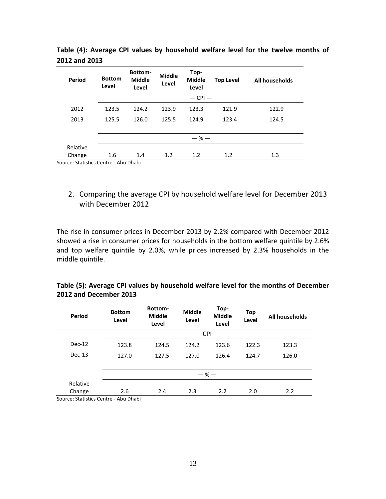| Period                              | <b>Bottom</b><br>Level | <b>Bottom-</b><br><b>Middle</b><br>Level | <b>Middle</b><br>Level | Top-<br><b>Middle</b><br>Level | <b>Top Level</b> | All households |
|-------------------------------------|------------------------|------------------------------------------|------------------------|--------------------------------|------------------|----------------|
|                                     |                        |                                          |                        | $-$ CPI $-$                    |                  |                |
| 2012                                | 123.5                  | 124.2                                    | 123.9                  | 123.3                          | 121.9            | 122.9          |
| 2013                                | 125.5                  | 126.0                                    | 125.5                  | 124.9                          | 123.4            | 124.5          |
|                                     |                        |                                          |                        |                                |                  |                |
|                                     |                        |                                          |                        | $-$ % $-$                      |                  |                |
| Relative                            |                        |                                          |                        |                                |                  |                |
| Change                              | 1.6                    | 1.4                                      | 1.2                    | 1.2                            | 1.2              | 1.3            |
| Cource: Ctatistics Contro Abu Dhabi |                        |                                          |                        |                                |                  |                |

**Table (4): Average CPI values by household welfare level for the twelve months of 2012 and 2013**

Source: Statistics Centre - Abu Dhabi

<span id="page-12-0"></span>2. Comparing the average CPI by household welfare level for December 2013 with December 2012

The rise in consumer prices in December 2013 by 2.2% compared with December 2012 showed a rise in consumer prices for households in the bottom welfare quintile by 2.6% and top welfare quintile by 2.0%, while prices increased by 2.3% households in the middle quintile.

| Table (5): Average CPI values by household welfare level for the months of December |  |
|-------------------------------------------------------------------------------------|--|
| 2012 and December 2013                                                              |  |

| <b>Bottom</b><br>Level | Bottom-<br><b>Middle</b><br>Level | Middle<br>Level | Top-<br><b>Middle</b><br>Level | Top<br>Level             | All households |
|------------------------|-----------------------------------|-----------------|--------------------------------|--------------------------|----------------|
|                        |                                   |                 |                                |                          |                |
| 123.8                  | 124.5                             | 124.2           | 123.6                          | 122.3                    | 123.3          |
| 127.0                  | 127.5                             | 127.0           | 126.4                          | 124.7                    | 126.0          |
|                        |                                   |                 |                                |                          |                |
|                        |                                   |                 |                                |                          |                |
|                        |                                   |                 |                                |                          |                |
| 2.6                    | 2.4                               | 2.3             | 2.2                            | 2.0                      | 2.2            |
|                        | .                                 |                 |                                | $-$ CPI $-$<br>$-$ % $-$ |                |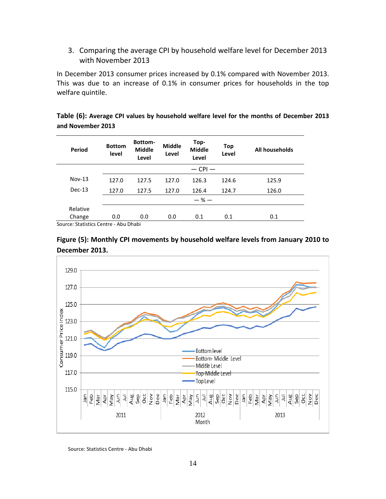<span id="page-13-0"></span>3. Comparing the average CPI by household welfare level for December 2013 with November 2013

In December 2013 consumer prices increased by 0.1% compared with November 2013. This was due to an increase of 0.1% in consumer prices for households in the top welfare quintile.

|                   | Table (6): Average CPI values by household welfare level for the months of December 2013 |  |  |  |
|-------------------|------------------------------------------------------------------------------------------|--|--|--|
| and November 2013 |                                                                                          |  |  |  |

| Period   | <b>Bottom</b><br>level | Bottom-<br><b>Middle</b><br>Level | <b>Middle</b><br>Level | Top-<br><b>Middle</b><br>Level | Top<br>Level | All households |
|----------|------------------------|-----------------------------------|------------------------|--------------------------------|--------------|----------------|
|          |                        |                                   |                        | $-$ CPI $-$                    |              |                |
| $Nov-13$ | 127.0                  | 127.5                             | 127.0                  | 126.3                          | 124.6        | 125.9          |
| $Dec-13$ | 127.0                  | 127.5                             | 127.0                  | 126.4                          | 124.7        | 126.0          |
|          |                        |                                   |                        | $-$ % $-$                      |              |                |
| Relative |                        |                                   |                        |                                |              |                |
| Change   | 0.0                    | 0.0                               | 0.0                    | 0.1                            | 0.1          | 0.1            |
|          |                        | _                                 |                        |                                |              |                |

Source: Statistics Centre - Abu Dhabi



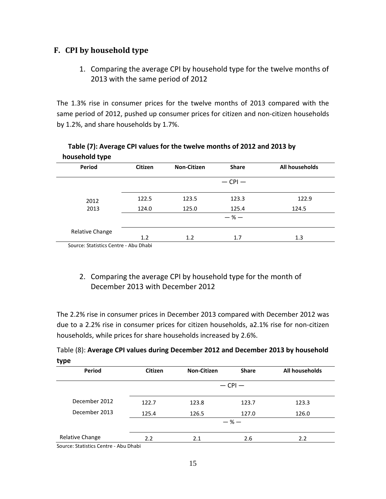# <span id="page-14-1"></span><span id="page-14-0"></span>**F. CPI by household type**

1. Comparing the average CPI by household type for the twelve months of 2013 with the same period of 2012

The 1.3% rise in consumer prices for the twelve months of 2013 compared with the same period of 2012, pushed up consumer prices for citizen and non-citizen households by 1.2%, and share households by 1.7%.

| <b>HOUSEHOR TAPE</b>                  |         |                    |              |                |
|---------------------------------------|---------|--------------------|--------------|----------------|
| <b>Period</b>                         | Citizen | <b>Non-Citizen</b> | <b>Share</b> | All households |
|                                       |         |                    | $-$ CPI $-$  |                |
| 2012                                  | 122.5   | 123.5              | 123.3        | 122.9          |
| 2013                                  | 124.0   | 125.0              | 125.4        | 124.5          |
|                                       |         |                    | $-$ % $-$    |                |
| Relative Change                       |         |                    |              |                |
|                                       | 1.2     | 1.2                | 1.7          | 1.3            |
| Source: Statistics Centre - Abu Dhabi |         |                    |              |                |

### **Table (7): Average CPI values for the twelve months of 2012 and 2013 by household type**

# <span id="page-14-2"></span>2. Comparing the average CPI by household type for the month of December 2013 with December 2012

The 2.2% rise in consumer prices in December 2013 compared with December 2012 was due to a 2.2% rise in consumer prices for citizen households, a2.1% rise for non-citizen households, while prices for share households increased by 2.6%.

|      | Table (8): Average CPI values during December 2012 and December 2013 by household |  |  |  |
|------|-----------------------------------------------------------------------------------|--|--|--|
| type |                                                                                   |  |  |  |

| Period                              | <b>Citizen</b> | <b>Non-Citizen</b> | <b>Share</b> | All households |  |
|-------------------------------------|----------------|--------------------|--------------|----------------|--|
|                                     | $-$ CPI $-$    |                    |              |                |  |
| December 2012                       | 122.7          | 123.8              | 123.7        | 123.3          |  |
| December 2013                       | 125.4          | 126.5              | 127.0        | 126.0          |  |
|                                     |                |                    | $-$ % $-$    |                |  |
| Relative Change                     | 2.2            | 2.1                | 2.6          | 2.2            |  |
| Cource: Ctatistics Contro Abu Dhabi |                |                    |              |                |  |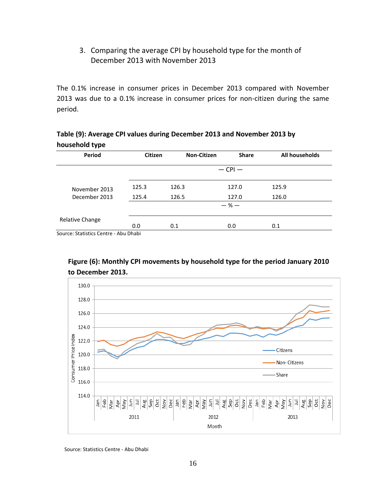# <span id="page-15-0"></span>3. Comparing the average CPI by household type for the month of December 2013 with November 2013

The 0.1% increase in consumer prices in December 2013 compared with November 2013 was due to a 0.1% increase in consumer prices for non-citizen during the same period.

| Table (9): Average CPI values during December 2013 and November 2013 by |  |
|-------------------------------------------------------------------------|--|
| household type                                                          |  |

| Period                               | <b>Citizen</b> | <b>Non-Citizen</b> | <b>Share</b> | All households |
|--------------------------------------|----------------|--------------------|--------------|----------------|
| $-$ CPI $-$                          |                |                    |              |                |
| November 2013                        | 125.3          | 126.3              | 127.0        | 125.9          |
| December 2013                        | 125.4          | 126.5              | 127.0        | 126.0          |
|                                      |                |                    | $-$ % $-$    |                |
| Relative Change                      |                |                    |              |                |
| Country Chatterine Country Alexander | 0.0            | 0.1                | 0.0          | 0.1            |

Source: Statistics Centre - Abu Dhabi

#### **Figure (6): Monthly CPI movements by household type for the period January 2010 to December 2013.**

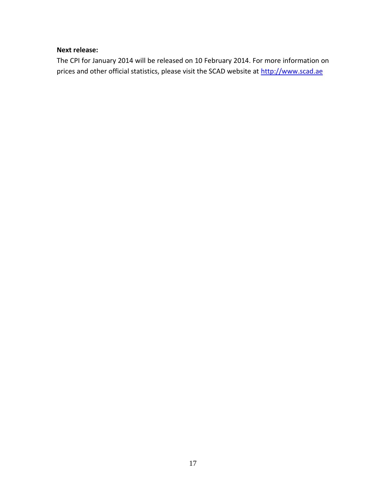### **Next release:**

The CPI for January 2014 will be released on 10 February 2014. For more information on prices and other official statistics, please visit the SCAD website at [http://www.scad.ae](http://www.scad.ae/)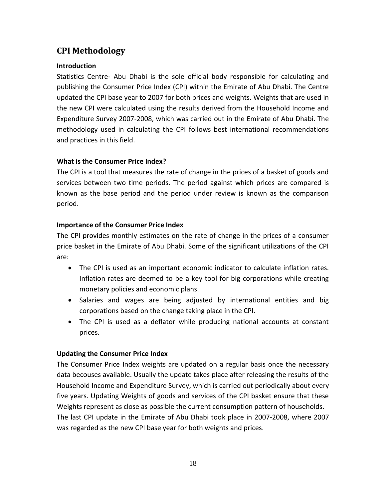# <span id="page-17-0"></span>**CPI Methodology**

#### **Introduction**

Statistics Centre- Abu Dhabi is the sole official body responsible for calculating and publishing the Consumer Price Index (CPI) within the Emirate of Abu Dhabi. The Centre updated the CPI base year to 2007 for both prices and weights. Weights that are used in the new CPI were calculated using the results derived from the Household Income and Expenditure Survey 2007-2008, which was carried out in the Emirate of Abu Dhabi. The methodology used in calculating the CPI follows best international recommendations and practices in this field.

#### **What is the Consumer Price Index?**

The CPI is a tool that measures the rate of change in the prices of a basket of goods and services between two time periods. The period against which prices are compared is known as the base period and the period under review is known as the comparison period.

#### **Importance of the Consumer Price Index**

The CPI provides monthly estimates on the rate of change in the prices of a consumer price basket in the Emirate of Abu Dhabi. Some of the significant utilizations of the CPI are:

- The CPI is used as an important economic indicator to calculate inflation rates. Inflation rates are deemed to be a key tool for big corporations while creating monetary policies and economic plans.
- Salaries and wages are being adjusted by international entities and big corporations based on the change taking place in the CPI.
- The CPI is used as a deflator while producing national accounts at constant prices.

#### **Updating the Consumer Price Index**

The Consumer Price Index weights are updated on a regular basis once the necessary data becouses available. Usually the update takes place after releasing the results of the Household Income and Expenditure Survey, which is carried out periodically about every five years. Updating Weights of goods and services of the CPI basket ensure that these Weights represent as close as possible the current consumption pattern of households. The last CPI update in the Emirate of Abu Dhabi took place in 2007-2008, where 2007 was regarded as the new CPI base year for both weights and prices.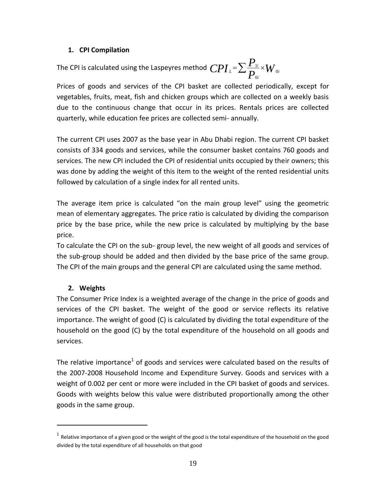#### **1. CPI Compilation**

The CPI is calculated using the Laspeyres method  $\, CPI_{\,\,l} \text{=}\sum \frac{I_{\,\,l\,i}}{P_{\text{o}i}} \text{\texttimes}\, W$ *P*  $CPI_{\iota} = \sum_{\mathbf{D}} \frac{\mathbf{I}_{\iota}}{|\mathbf{D}|} \times W_{\iota}$ *i L* ∠ <sub>D</sub>  $\cap$   $\mathsf{V}$  0 0  $=\sum \frac{\boldsymbol{P}_{1i}}{\boldsymbol{D}}\times$ 

Prices of goods and services of the CPI basket are collected periodically, except for vegetables, fruits, meat, fish and chicken groups which are collected on a weekly basis due to the continuous change that occur in its prices. Rentals prices are collected quarterly, while education fee prices are collected semi- annually.

The current CPI uses 2007 as the base year in Abu Dhabi region. The current CPI basket consists of 334 goods and services, while the consumer basket contains 760 goods and services. The new CPI included the CPI of residential units occupied by their owners; this was done by adding the weight of this item to the weight of the rented residential units followed by calculation of a single index for all rented units.

The average item price is calculated "on the main group level" using the geometric mean of elementary aggregates. The price ratio is calculated by dividing the comparison price by the base price, while the new price is calculated by multiplying by the base price.

To calculate the CPI on the sub- group level, the new weight of all goods and services of the sub-group should be added and then divided by the base price of the same group. The CPI of the main groups and the general CPI are calculated using the same method.

#### **2. Weights**

l

The Consumer Price Index is a weighted average of the change in the price of goods and services of the CPI basket. The weight of the good or service reflects its relative importance. The weight of good (C) is calculated by dividing the total expenditure of the household on the good (C) by the total expenditure of the household on all goods and services.

The relative importance<sup>1</sup> of goods and services were calculated based on the results of the 2007-2008 Household Income and Expenditure Survey. Goods and services with a weight of 0.002 per cent or more were included in the CPI basket of goods and services. Goods with weights below this value were distributed proportionally among the other goods in the same group.

 $^{\rm 1}$  Relative importance of a given good or the weight of the good is the total expenditure of the household on the good divided by the total expenditure of all households on that good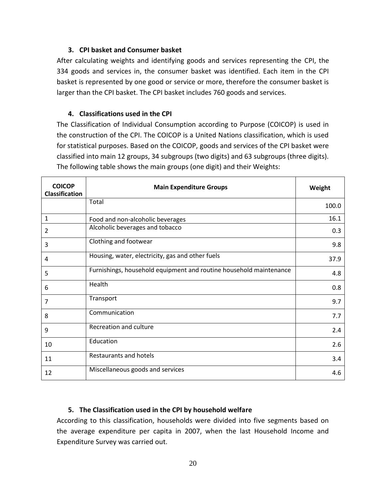#### **3. CPI basket and Consumer basket**

After calculating weights and identifying goods and services representing the CPI, the 334 goods and services in, the consumer basket was identified. Each item in the CPI basket is represented by one good or service or more, therefore the consumer basket is larger than the CPI basket. The CPI basket includes 760 goods and services.

#### **4. Classifications used in the CPI**

The Classification of Individual Consumption according to Purpose (COICOP) is used in the construction of the CPI. The COICOP is a United Nations classification, which is used for statistical purposes. Based on the COICOP, goods and services of the CPI basket were classified into main 12 groups, 34 subgroups (two digits) and 63 subgroups (three digits). The following table shows the main groups (one digit) and their Weights:

| <b>COICOP</b><br><b>Classification</b> | <b>Main Expenditure Groups</b>                                     | Weight |
|----------------------------------------|--------------------------------------------------------------------|--------|
|                                        | Total                                                              | 100.0  |
| 1                                      | Food and non-alcoholic beverages                                   | 16.1   |
| 2                                      | Alcoholic beverages and tobacco                                    | 0.3    |
| 3                                      | Clothing and footwear                                              | 9.8    |
| 4                                      | Housing, water, electricity, gas and other fuels                   | 37.9   |
| 5                                      | Furnishings, household equipment and routine household maintenance | 4.8    |
| 6                                      | Health                                                             | 0.8    |
| 7                                      | Transport                                                          | 9.7    |
| 8                                      | Communication                                                      | 7.7    |
| 9                                      | Recreation and culture                                             | 2.4    |
| 10                                     | Education                                                          | 2.6    |
| 11                                     | <b>Restaurants and hotels</b>                                      | 3.4    |
| 12                                     | Miscellaneous goods and services                                   | 4.6    |

#### **5. The Classification used in the CPI by household welfare**

According to this classification, households were divided into five segments based on the average expenditure per capita in 2007, when the last Household Income and Expenditure Survey was carried out.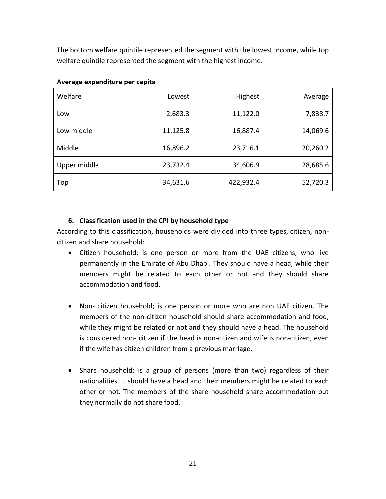The bottom welfare quintile represented the segment with the lowest income, while top welfare quintile represented the segment with the highest income.

| Welfare      | Lowest   | Highest   | Average  |
|--------------|----------|-----------|----------|
| Low          | 2,683.3  | 11,122.0  | 7,838.7  |
| Low middle   | 11,125.8 | 16,887.4  | 14,069.6 |
| Middle       | 16,896.2 | 23,716.1  | 20,260.2 |
| Upper middle | 23,732.4 | 34,606.9  | 28,685.6 |
| Top          | 34,631.6 | 422,932.4 | 52,720.3 |

#### **Average expenditure per capita**

#### **6. Classification used in the CPI by household type**

According to this classification, households were divided into three types, citizen, noncitizen and share household:

- Citizen household: is one person or more from the UAE citizens, who live permanently in the Emirate of Abu Dhabi. They should have a head, while their members might be related to each other or not and they should share accommodation and food.
- Non- citizen household; is one person or more who are non UAE citizen. The members of the non-citizen household should share accommodation and food, while they might be related or not and they should have a head. The household is considered non- citizen if the head is non-citizen and wife is non-citizen, even if the wife has citizen children from a previous marriage.
- Share household: is a group of persons (more than two) regardless of their nationalities. It should have a head and their members might be related to each other or not. The members of the share household share accommodation but they normally do not share food.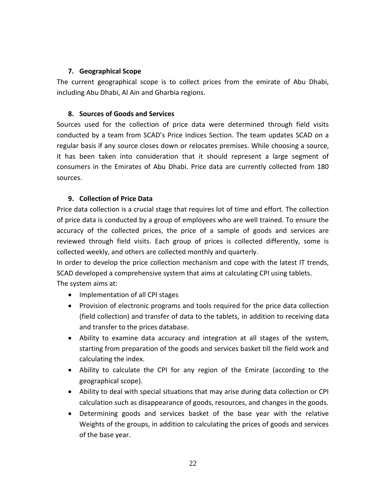#### **7. Geographical Scope**

The current geographical scope is to collect prices from the emirate of Abu Dhabi, including Abu Dhabi, Al Ain and Gharbia regions.

#### **8. Sources of Goods and Services**

Sources used for the collection of price data were determined through field visits conducted by a team from SCAD's Price Indices Section. The team updates SCAD on a regular basis if any source closes down or relocates premises. While choosing a source, it has been taken into consideration that it should represent a large segment of consumers in the Emirates of Abu Dhabi. Price data are currently collected from 180 sources.

#### **9. Collection of Price Data**

Price data collection is a crucial stage that requires lot of time and effort. The collection of price data is conducted by a group of employees who are well trained. To ensure the accuracy of the collected prices, the price of a sample of goods and services are reviewed through field visits. Each group of prices is collected differently, some is collected weekly, and others are collected monthly and quarterly.

In order to develop the price collection mechanism and cope with the latest IT trends, SCAD developed a comprehensive system that aims at calculating CPI using tablets. The system aims at:

- Implementation of all CPI stages
- Provision of electronic programs and tools required for the price data collection (field collection) and transfer of data to the tablets, in addition to receiving data and transfer to the prices database.
- Ability to examine data accuracy and integration at all stages of the system, starting from preparation of the goods and services basket till the field work and calculating the index.
- Ability to calculate the CPI for any region of the Emirate (according to the geographical scope).
- Ability to deal with special situations that may arise during data collection or CPI calculation such as disappearance of goods, resources, and changes in the goods.
- Determining goods and services basket of the base year with the relative Weights of the groups, in addition to calculating the prices of goods and services of the base year.